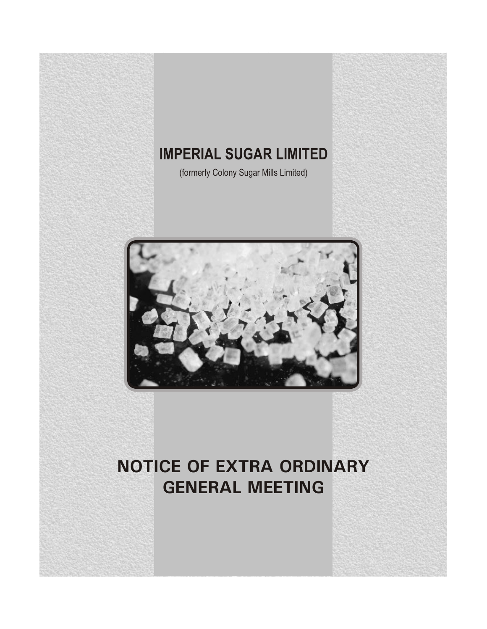# **IMPERIAL SUGAR LIMITED**

(formerly Colony Sugar Mills Limited)



# **NOTICE OF EXTRA ORDINARY GENERAL MEETING**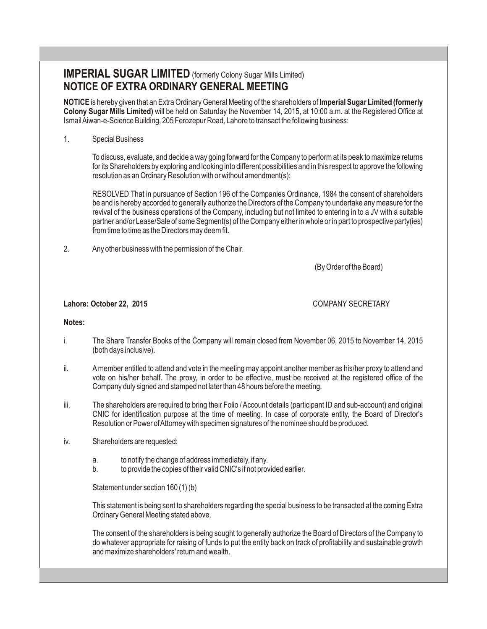## **IMPERIAL SUGAR LIMITED** (formerly Colony Sugar Mills Limited) **NOTICE OF EXTRA ORDINARY GENERAL MEETING**

**NOTICE** is hereby given that an Extra Ordinary General Meeting of the shareholders of **Imperial Sugar Limited (formerly Colony Sugar Mills Limited)** will be held on Saturday the November 14, 2015, at 10:00 a.m. at the Registered Office at Ismail Aiwan-e-Science Building, 205 Ferozepur Road, Lahore to transact the following business:

#### 1. Special Business

To discuss, evaluate, and decide a way going forward for the Company to perform at its peak to maximize returns for its Shareholders by exploring and looking into different possibilities and in this respect to approve the following resolution as an Ordinary Resolution with or without amendment(s):

RESOLVED That in pursuance of Section 196 of the Companies Ordinance, 1984 the consent of shareholders be and is hereby accorded to generally authorize the Directors of the Company to undertake any measure for the revival of the business operations of the Company, including but not limited to entering in to a JV with a suitable partner and/or Lease/Sale of some Segment(s) of the Company either in whole or in part to prospective party(ies) from time to time as the Directors may deem fit.

2. Any other business with the permission of the Chair.

(By Order of the Board)

#### **Lahore: October 22, 2015** COMPANY SECRETARY

#### **Notes:**

- i. The Share Transfer Books of the Company will remain closed from November 06, 2015 to November 14, 2015 (both days inclusive).
- ii. A member entitled to attend and vote in the meeting may appoint another member as his/her proxy to attend and vote on his/her behalf. The proxy, in order to be effective, must be received at the registered office of the Company duly signed and stamped not later than 48 hours before the meeting.
- iii. The shareholders are required to bring their Folio / Account details (participant ID and sub-account) and original CNIC for identification purpose at the time of meeting. In case of corporate entity, the Board of Director's Resolution or Power of Attorney with specimen signatures of the nominee should be produced.
- iv. Shareholders are requested:
	- a. to notify the change of address immediately, if any.
	- b. to provide the copies of their valid CNIC's if not provided earlier.

Statement under section 160 (1) (b)

This statement is being sent to shareholders regarding the special business to be transacted at the coming Extra Ordinary General Meeting stated above.

The consent of the shareholders is being sought to generally authorize the Board of Directors of the Company to do whatever appropriate for raising of funds to put the entity back on track of profitability and sustainable growth and maximize shareholders' return and wealth.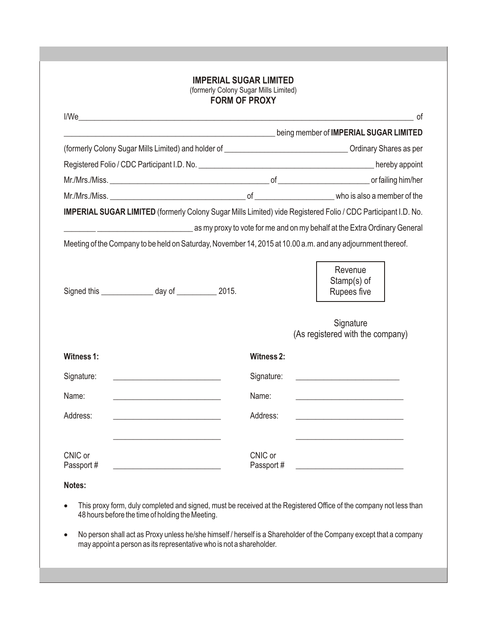#### **IMPERIAL SUGAR LIMITED** (formerly Colony Sugar Mills Limited) **FORM OF PROXY**

|                                                                                                               | <u> 1989 - Johann Harry Barn, mars ar breist fan de Amerikaansk kommunent fan de Amerikaanske kommunent fan de A</u> | being member of IMPERIAL SUGAR LIMITED        |
|---------------------------------------------------------------------------------------------------------------|----------------------------------------------------------------------------------------------------------------------|-----------------------------------------------|
| (formerly Colony Sugar Mills Limited) and holder of entity and the state of the Colony Shares as per          |                                                                                                                      |                                               |
|                                                                                                               |                                                                                                                      |                                               |
|                                                                                                               |                                                                                                                      |                                               |
|                                                                                                               |                                                                                                                      |                                               |
| IMPERIAL SUGAR LIMITED (formerly Colony Sugar Mills Limited) vide Registered Folio / CDC Participant I.D. No. |                                                                                                                      |                                               |
| as my proxy to vote for me and on my behalf at the Extra Ordinary General as the Extra Ordinary General       |                                                                                                                      |                                               |
| Meeting of the Company to be held on Saturday, November 14, 2015 at 10.00 a.m. and any adjournment thereof.   |                                                                                                                      |                                               |
| Signed this ________________ day of _____________ 2015.                                                       |                                                                                                                      | Revenue<br>Stamp(s) of<br>Rupees five         |
|                                                                                                               |                                                                                                                      |                                               |
|                                                                                                               |                                                                                                                      | Signature<br>(As registered with the company) |
| Witness 1:                                                                                                    | <b>Witness 2:</b>                                                                                                    |                                               |
| Signature:                                                                                                    | Signature:                                                                                                           |                                               |
| Name:                                                                                                         | Name:                                                                                                                |                                               |
| Address:                                                                                                      | Address:                                                                                                             |                                               |
| CNIC or<br>Passport#                                                                                          | CNIC or<br>Passport #                                                                                                |                                               |
| Notes:                                                                                                        |                                                                                                                      |                                               |